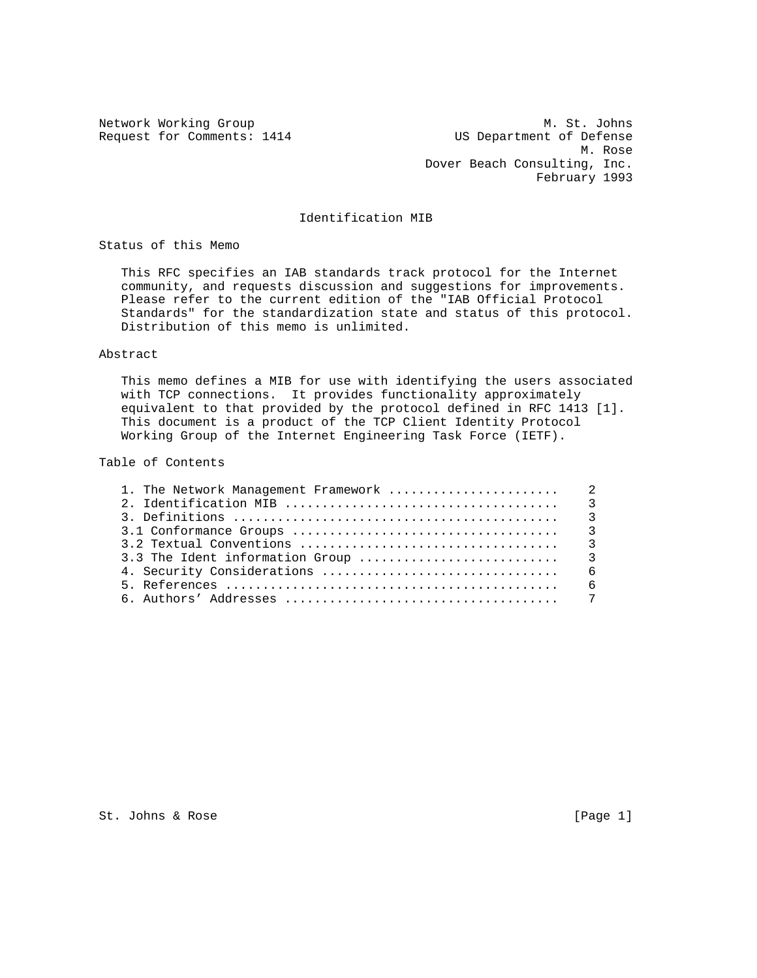Network Working Group Metwork Working Group Metwork Metwork Metal Request for Comments: 1414 US Department of Defense M. Rose Dover Beach Consulting, Inc. February 1993

## Identification MIB

Status of this Memo

 This RFC specifies an IAB standards track protocol for the Internet community, and requests discussion and suggestions for improvements. Please refer to the current edition of the "IAB Official Protocol Standards" for the standardization state and status of this protocol. Distribution of this memo is unlimited.

## Abstract

 This memo defines a MIB for use with identifying the users associated with TCP connections. It provides functionality approximately equivalent to that provided by the protocol defined in RFC 1413 [1]. This document is a product of the TCP Client Identity Protocol Working Group of the Internet Engineering Task Force (IETF).

#### Table of Contents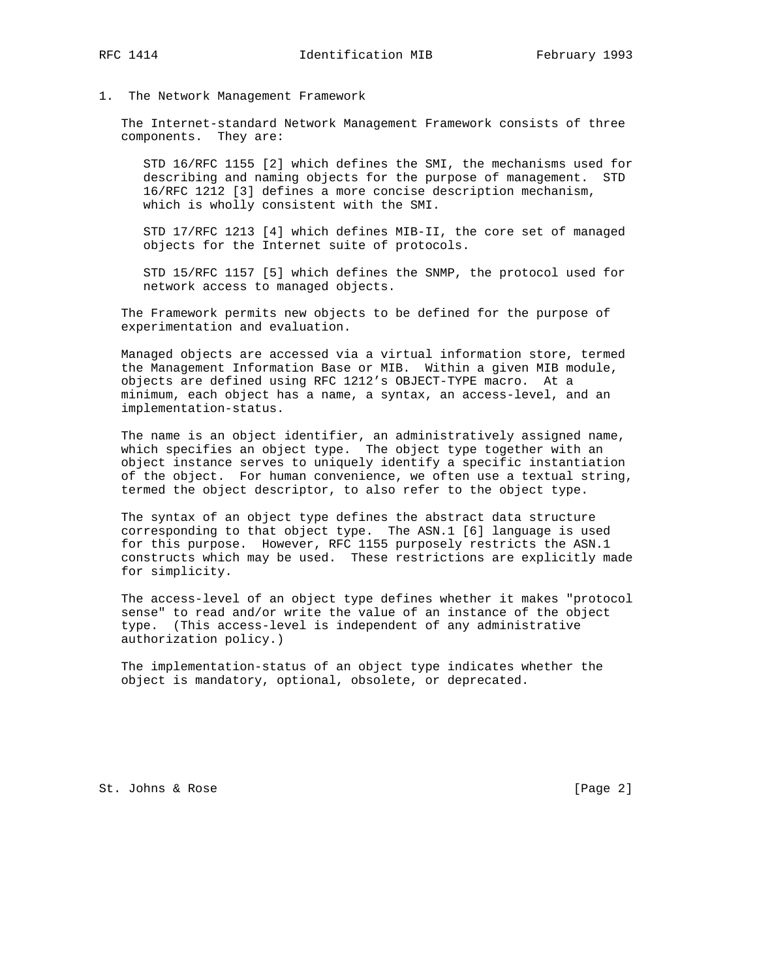### 1. The Network Management Framework

 The Internet-standard Network Management Framework consists of three components. They are:

 STD 16/RFC 1155 [2] which defines the SMI, the mechanisms used for describing and naming objects for the purpose of management. STD 16/RFC 1212 [3] defines a more concise description mechanism, which is wholly consistent with the SMI.

 STD 17/RFC 1213 [4] which defines MIB-II, the core set of managed objects for the Internet suite of protocols.

 STD 15/RFC 1157 [5] which defines the SNMP, the protocol used for network access to managed objects.

 The Framework permits new objects to be defined for the purpose of experimentation and evaluation.

 Managed objects are accessed via a virtual information store, termed the Management Information Base or MIB. Within a given MIB module, objects are defined using RFC 1212's OBJECT-TYPE macro. At a minimum, each object has a name, a syntax, an access-level, and an implementation-status.

 The name is an object identifier, an administratively assigned name, which specifies an object type. The object type together with an object instance serves to uniquely identify a specific instantiation of the object. For human convenience, we often use a textual string, termed the object descriptor, to also refer to the object type.

 The syntax of an object type defines the abstract data structure corresponding to that object type. The ASN.1 [6] language is used for this purpose. However, RFC 1155 purposely restricts the ASN.1 constructs which may be used. These restrictions are explicitly made for simplicity.

 The access-level of an object type defines whether it makes "protocol sense" to read and/or write the value of an instance of the object type. (This access-level is independent of any administrative authorization policy.)

 The implementation-status of an object type indicates whether the object is mandatory, optional, obsolete, or deprecated.

St. Johns & Rose [Page 2]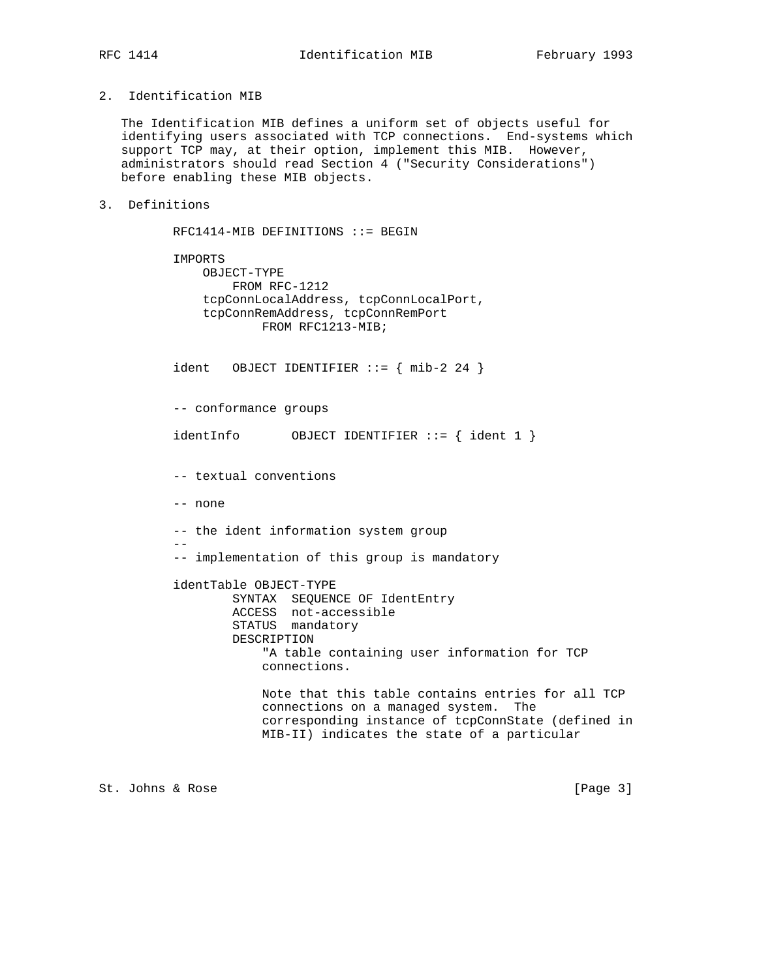# 2. Identification MIB

 The Identification MIB defines a uniform set of objects useful for identifying users associated with TCP connections. End-systems which support TCP may, at their option, implement this MIB. However, administrators should read Section 4 ("Security Considerations") before enabling these MIB objects.

# 3. Definitions

```
 RFC1414-MIB DEFINITIONS ::= BEGIN
          IMPORTS
            OBJECT-TYPE
                 FROM RFC-1212
             tcpConnLocalAddress, tcpConnLocalPort,
             tcpConnRemAddress, tcpConnRemPort
                     FROM RFC1213-MIB;
         ident OBJECT IDENTIFIER ::= { mib-2 24 }
          -- conformance groups
         identInfo OBJECT IDENTIFIER ::= { ident 1 }
          -- textual conventions
          -- none
          -- the ident information system group
 --
          -- implementation of this group is mandatory
          identTable OBJECT-TYPE
SYNTAX SEQUENCE OF IdentEntry
 ACCESS not-accessible
STATUS mandatory
                 DESCRIPTION
                     "A table containing user information for TCP
                     connections.
                     Note that this table contains entries for all TCP
                     connections on a managed system. The
                     corresponding instance of tcpConnState (defined in
                     MIB-II) indicates the state of a particular
```
St. Johns & Rose [Page 3]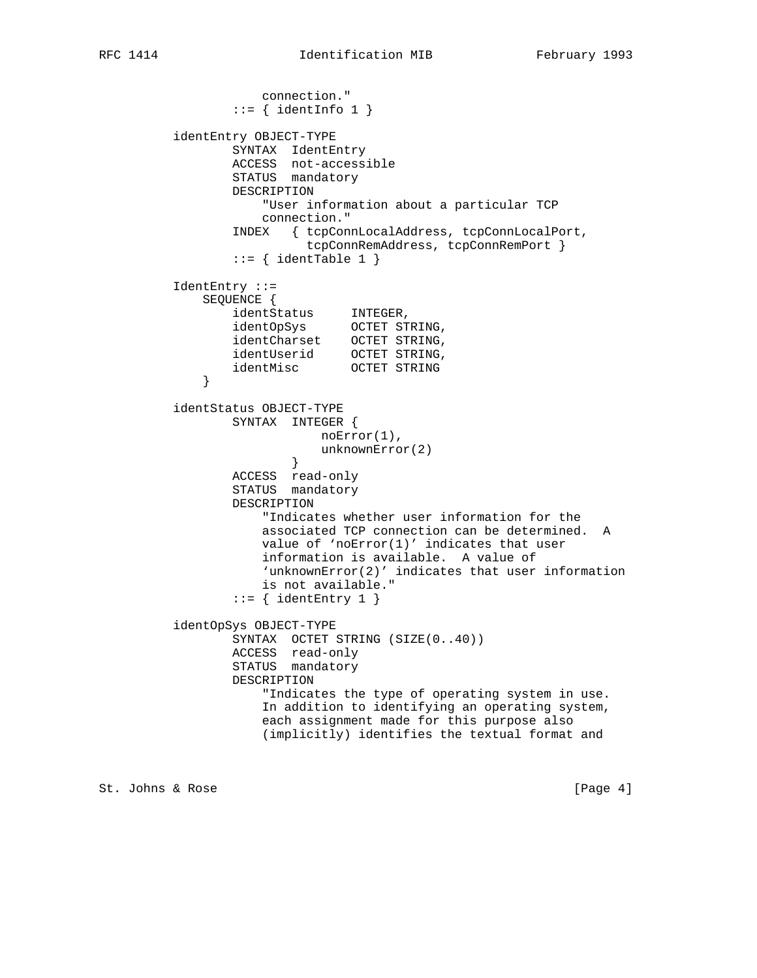```
 connection."
               ::= { identInfo 1 }
         identEntry OBJECT-TYPE
SYNTAX IdentEntry
 ACCESS not-accessible
                STATUS mandatory
                DESCRIPTION
                   "User information about a particular TCP
                   connection."
                INDEX { tcpConnLocalAddress, tcpConnLocalPort,
                         tcpConnRemAddress, tcpConnRemPort }
               ::= { identTable 1 }
         IdentEntry ::=
            SEQUENCE {
identStatus INTEGER,
 identOpSys OCTET STRING,
 identCharset OCTET STRING,
 identUserid OCTET STRING,
 identMisc OCTET STRING
 }
         identStatus OBJECT-TYPE
                SYNTAX INTEGER {
                          noError(1),
                          unknownError(2)
 }
 ACCESS read-only
STATUS mandatory
                DESCRIPTION
                   "Indicates whether user information for the
                   associated TCP connection can be determined. A
                   value of 'noError(1)' indicates that user
                   information is available. A value of
                   'unknownError(2)' indicates that user information
                   is not available."
                ::= { identEntry 1 }
         identOpSys OBJECT-TYPE
                SYNTAX OCTET STRING (SIZE(0..40))
                ACCESS read-only
                STATUS mandatory
                DESCRIPTION
                   "Indicates the type of operating system in use.
                   In addition to identifying an operating system,
                   each assignment made for this purpose also
                   (implicitly) identifies the textual format and
```
St. Johns & Rose [Page 4]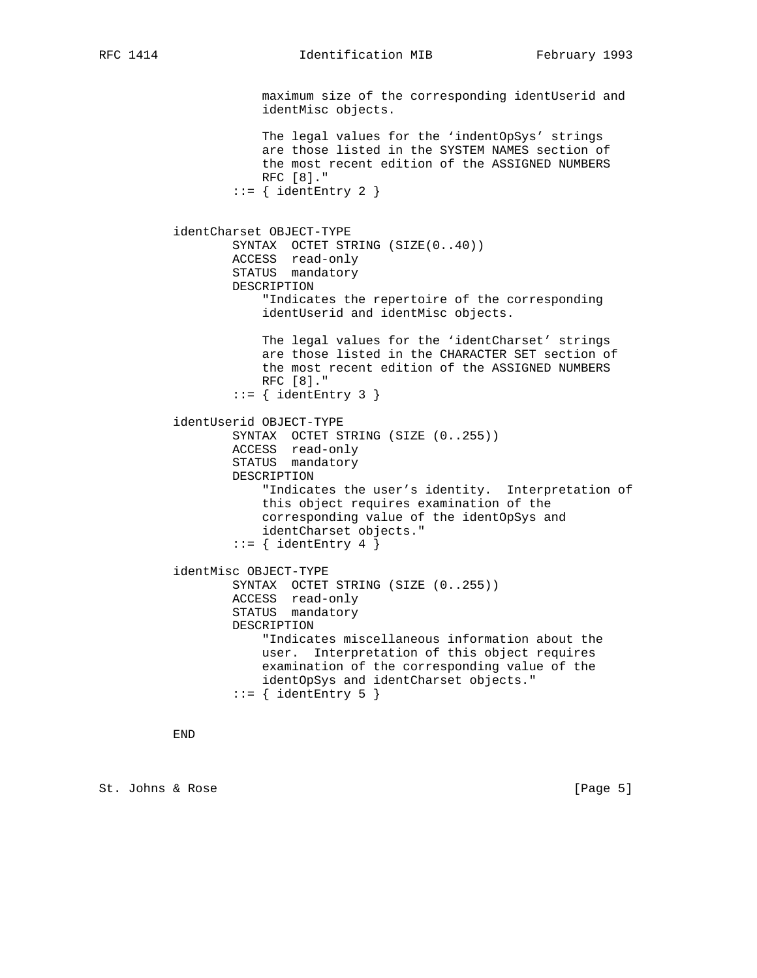maximum size of the corresponding identUserid and identMisc objects. The legal values for the 'indentOpSys' strings are those listed in the SYSTEM NAMES section of the most recent edition of the ASSIGNED NUMBERS RFC [8]."  $::=$  { identEntry 2 } identCharset OBJECT-TYPE SYNTAX OCTET STRING (SIZE(0..40)) ACCESS read-only STATUS mandatory DESCRIPTION "Indicates the repertoire of the corresponding identUserid and identMisc objects. The legal values for the 'identCharset' strings are those listed in the CHARACTER SET section of the most recent edition of the ASSIGNED NUMBERS RFC [8]."  $::=$  { identEntry 3 } identUserid OBJECT-TYPE SYNTAX OCTET STRING (SIZE (0..255)) ACCESS read-only STATUS mandatory DESCRIPTION "Indicates the user's identity. Interpretation of this object requires examination of the corresponding value of the identOpSys and identCharset objects."  $::=$  { identEntry 4 } identMisc OBJECT-TYPE SYNTAX OCTET STRING (SIZE (0..255)) ACCESS read-only STATUS mandatory DESCRIPTION "Indicates miscellaneous information about the user. Interpretation of this object requires examination of the corresponding value of the identOpSys and identCharset objects."  $::=$  { identEntry 5 }

END

St. Johns & Rose [Page 5]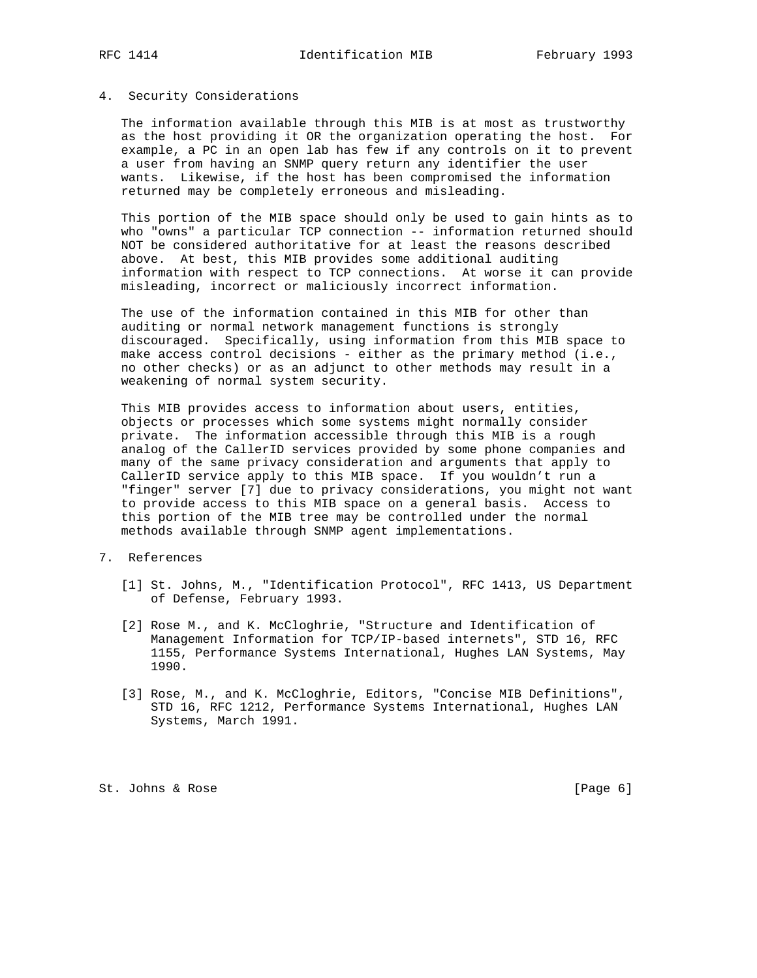#### 4. Security Considerations

 The information available through this MIB is at most as trustworthy as the host providing it OR the organization operating the host. For example, a PC in an open lab has few if any controls on it to prevent a user from having an SNMP query return any identifier the user wants. Likewise, if the host has been compromised the information returned may be completely erroneous and misleading.

 This portion of the MIB space should only be used to gain hints as to who "owns" a particular TCP connection -- information returned should NOT be considered authoritative for at least the reasons described above. At best, this MIB provides some additional auditing information with respect to TCP connections. At worse it can provide misleading, incorrect or maliciously incorrect information.

 The use of the information contained in this MIB for other than auditing or normal network management functions is strongly discouraged. Specifically, using information from this MIB space to make access control decisions - either as the primary method  $(i.e.,$  no other checks) or as an adjunct to other methods may result in a weakening of normal system security.

 This MIB provides access to information about users, entities, objects or processes which some systems might normally consider private. The information accessible through this MIB is a rough analog of the CallerID services provided by some phone companies and many of the same privacy consideration and arguments that apply to CallerID service apply to this MIB space. If you wouldn't run a "finger" server [7] due to privacy considerations, you might not want to provide access to this MIB space on a general basis. Access to this portion of the MIB tree may be controlled under the normal methods available through SNMP agent implementations.

7. References

- [1] St. Johns, M., "Identification Protocol", RFC 1413, US Department of Defense, February 1993.
- [2] Rose M., and K. McCloghrie, "Structure and Identification of Management Information for TCP/IP-based internets", STD 16, RFC 1155, Performance Systems International, Hughes LAN Systems, May 1990.
- [3] Rose, M., and K. McCloghrie, Editors, "Concise MIB Definitions", STD 16, RFC 1212, Performance Systems International, Hughes LAN Systems, March 1991.

St. Johns & Rose [Page 6]